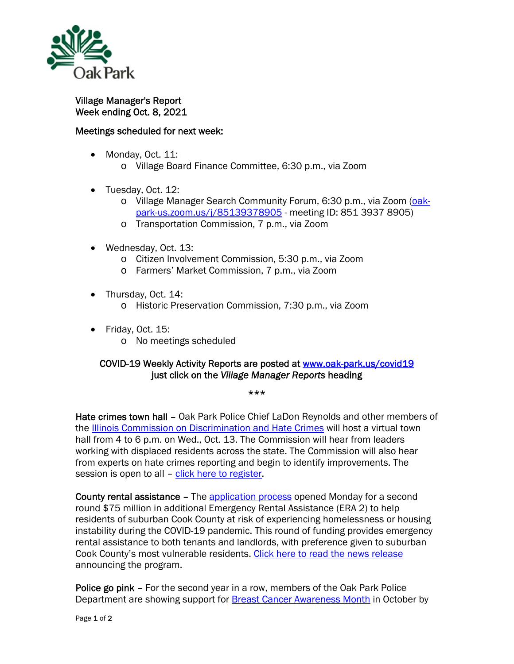

Village Manager's Report Week ending Oct. 8, 2021

## Meetings scheduled for next week:

- Monday, Oct. 11:
	- o Village Board Finance Committee, 6:30 p.m., via Zoom
- Tuesday, Oct. 12:
	- o Village Manager Search Community Forum, 6:30 p.m., via Zoom (oakpark-us.zoom.us/j/85139378905 - meeting ID: 851 3937 8905)
	- o Transportation Commission, 7 p.m., via Zoom
- Wednesday, Oct. 13:
	- o Citizen Involvement Commission, 5:30 p.m., via Zoom
	- o Farmers' Market Commission, 7 p.m., via Zoom
- Thursday, Oct. 14: o Historic Preservation Commission, 7:30 p.m., via Zoom
- Friday, Oct. 15: o No meetings scheduled

## COVID-19 Weekly Activity Reports are posted at www.oak-park.us/covid19 just click on the *Village Manager Reports* heading

\*\*\*

Hate crimes town hall – Oak Park Police Chief LaDon Reynolds and other members of the Illinois Commission on Discrimination and Hate Crimes will host a virtual town hall from 4 to 6 p.m. on Wed., Oct. 13. The Commission will hear from leaders working with displaced residents across the state. The Commission will also hear from experts on hate crimes reporting and begin to identify improvements. The session is open to all – click here to register.

County rental assistance – The application process opened Monday for a second round \$75 million in additional Emergency Rental Assistance (ERA 2) to help residents of suburban Cook County at risk of experiencing homelessness or housing instability during the COVID-19 pandemic. This round of funding provides emergency rental assistance to both tenants and landlords, with preference given to suburban Cook County's most vulnerable residents. Click here to read the news release announcing the program.

Police go pink – For the second year in a row, members of the Oak Park Police Department are showing support for **Breast Cancer Awareness Month in October by**